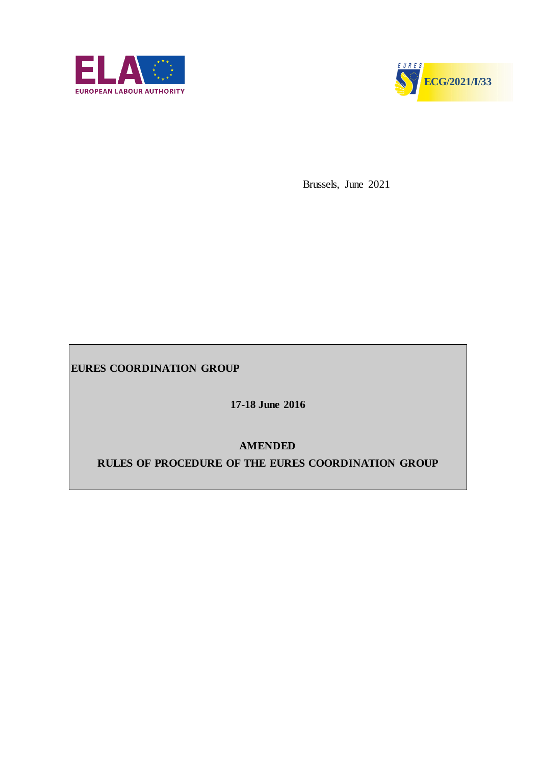



Brussels, June 2021

**EURES COORDINATION GROUP** 

**17-18 June 2016** 

**AMENDED**

**RULES OF PROCEDURE OF THE EURES COORDINATION GROUP**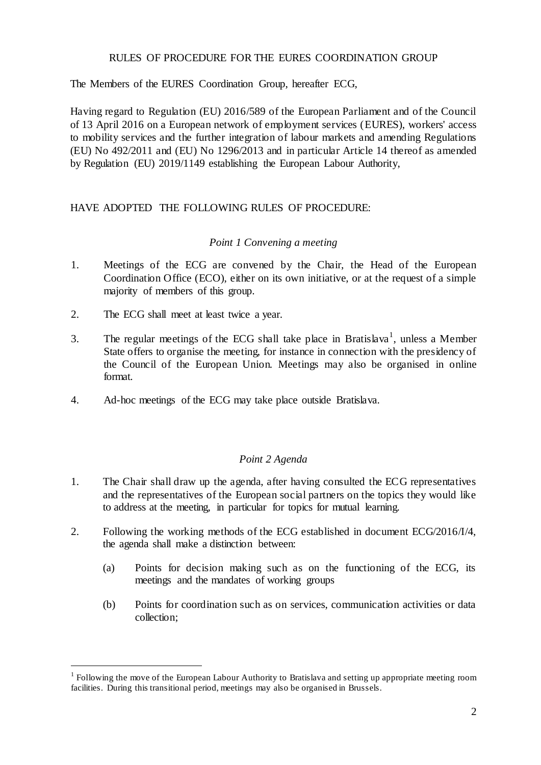# RULES OF PROCEDURE FOR THE EURES COORDINATION GROUP

The Members of the EURES Coordination Group, hereafter ECG,

Having regard to Regulation (EU) 2016/589 of the European Parliament and of the Council of 13 April 2016 on a European network of employment services (EURES), workers' access to mobility services and the further integration of labour markets and amending Regulations (EU) No 492/2011 and (EU) No 1296/2013 and in particular Article 14 thereof as amended by Regulation (EU) 2019/1149 establishing the European Labour Authority,

# HAVE ADOPTED THE FOLLOWING RULES OF PROCEDURE:

# *Point 1 Convening a meeting*

- 1. Meetings of the ECG are convened by the Chair, the Head of the European Coordination Office (ECO), either on its own initiative, or at the request of a simple majority of members of this group.
- 2. The ECG shall meet at least twice a year.

 $\overline{a}$ 

- 3. The regular meetings of the ECG shall take place in Bratislava<sup>1</sup>, unless a Member State offers to organise the meeting, for instance in connection with the presidency of the Council of the European Union. Meetings may also be organised in online format.
- 4. Ad-hoc meetings of the ECG may take place outside Bratislava.

### *Point 2 Agenda*

- 1. The Chair shall draw up the agenda, after having consulted the ECG representatives and the representatives of the European social partners on the topics they would like to address at the meeting, in particular for topics for mutual learning.
- 2. Following the working methods of the ECG established in document ECG/2016/I/4, the agenda shall make a distinction between:
	- (a) Points for decision making such as on the functioning of the ECG, its meetings and the mandates of working groups
	- (b) Points for coordination such as on services, communication activities or data collection;

<sup>&</sup>lt;sup>1</sup> Following the move of the European Labour Authority to Bratislava and setting up appropriate meeting room facilities. During this transitional period, meetings may also be organised in Brussels.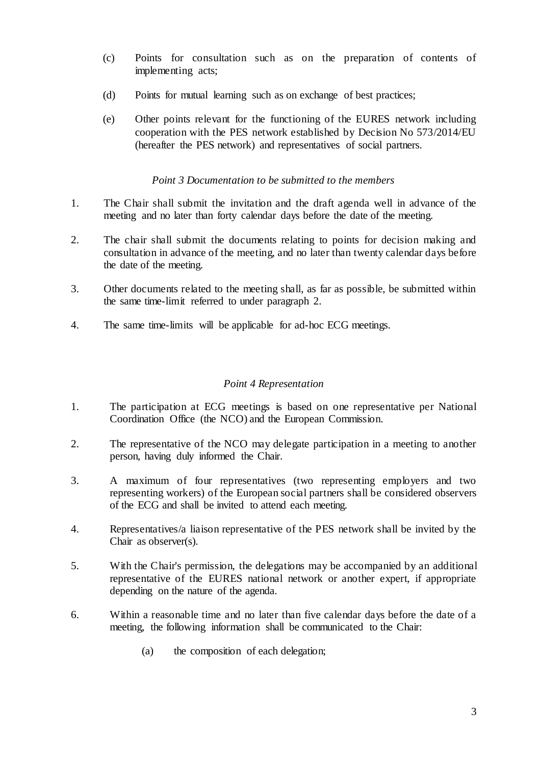- (c) Points for consultation such as on the preparation of contents of implementing acts;
- (d) Points for mutual learning such as on exchange of best practices;
- (e) Other points relevant for the functioning of the EURES network including cooperation with the PES network established by Decision No 573/2014/EU (hereafter the PES network) and representatives of social partners.

# *Point 3 Documentation to be submitted to the members*

- 1. The Chair shall submit the invitation and the draft agenda well in advance of the meeting and no later than forty calendar days before the date of the meeting.
- 2. The chair shall submit the documents relating to points for decision making and consultation in advance of the meeting, and no later than twenty calendar days before the date of the meeting.
- 3. Other documents related to the meeting shall, as far as possible, be submitted within the same time-limit referred to under paragraph 2.
- 4. The same time-limits will be applicable for ad-hoc ECG meetings.

# *Point 4 Representation*

- 1. The participation at ECG meetings is based on one representative per National Coordination Office (the NCO) and the European Commission.
- 2. The representative of the NCO may delegate participation in a meeting to another person, having duly informed the Chair.
- 3. A maximum of four representatives (two representing employers and two representing workers) of the European social partners shall be considered observers of the ECG and shall be invited to attend each meeting.
- 4. Representatives/a liaison representative of the PES network shall be invited by the Chair as observer(s).
- 5. With the Chair's permission, the delegations may be accompanied by an additional representative of the EURES national network or another expert, if appropriate depending on the nature of the agenda.
- 6. Within a reasonable time and no later than five calendar days before the date of a meeting, the following information shall be communicated to the Chair:
	- (a) the composition of each delegation;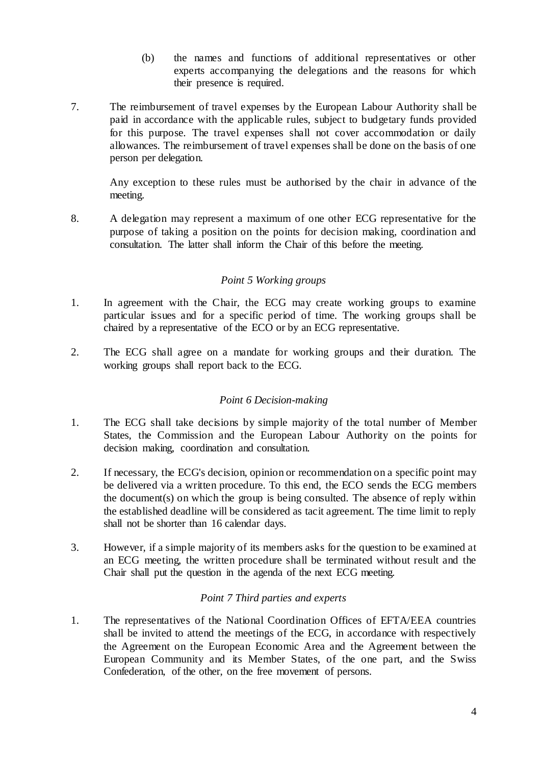- (b) the names and functions of additional representatives or other experts accompanying the delegations and the reasons for which their presence is required.
- 7. The reimbursement of travel expenses by the European Labour Authority shall be paid in accordance with the applicable rules, subject to budgetary funds provided for this purpose. The travel expenses shall not cover accommodation or daily allowances. The reimbursement of travel expenses shall be done on the basis of one person per delegation.

Any exception to these rules must be authorised by the chair in advance of the meeting.

8. A delegation may represent a maximum of one other ECG representative for the purpose of taking a position on the points for decision making, coordination and consultation. The latter shall inform the Chair of this before the meeting.

# *Point 5 Working groups*

- 1. In agreement with the Chair, the ECG may create working groups to examine particular issues and for a specific period of time. The working groups shall be chaired by a representative of the ECO or by an ECG representative.
- 2. The ECG shall agree on a mandate for working groups and their duration. The working groups shall report back to the ECG.

### *Point 6 Decision-making*

- 1. The ECG shall take decisions by simple majority of the total number of Member States, the Commission and the European Labour Authority on the points for decision making, coordination and consultation.
- 2. If necessary, the ECG's decision, opinion or recommendation on a specific point may be delivered via a written procedure. To this end, the ECO sends the ECG members the document(s) on which the group is being consulted. The absence of reply within the established deadline will be considered as tacit agreement. The time limit to reply shall not be shorter than 16 calendar days.
- 3. However, if a simple majority of its members asks for the question to be examined at an ECG meeting, the written procedure shall be terminated without result and the Chair shall put the question in the agenda of the next ECG meeting.

### *Point 7 Third parties and experts*

1. The representatives of the National Coordination Offices of EFTA/EEA countries shall be invited to attend the meetings of the ECG, in accordance with respectively the Agreement on the European Economic Area and the Agreement between the European Community and its Member States, of the one part, and the Swiss Confederation, of the other, on the free movement of persons.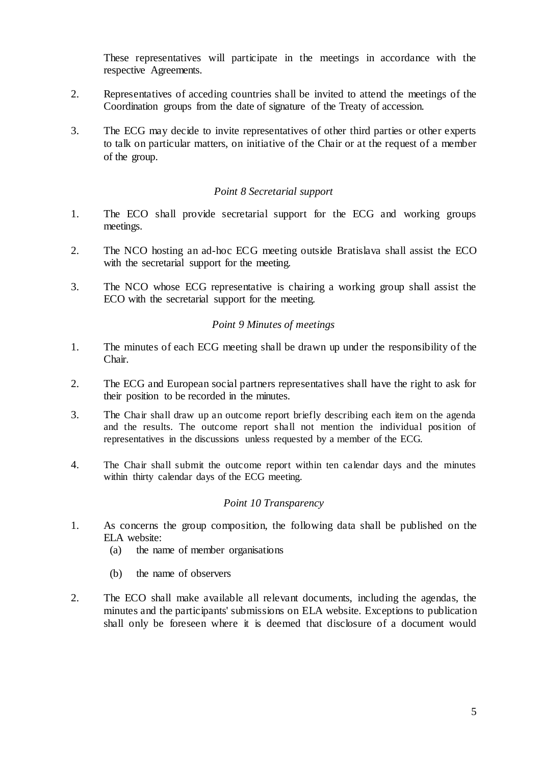These representatives will participate in the meetings in accordance with the respective Agreements.

- 2. Representatives of acceding countries shall be invited to attend the meetings of the Coordination groups from the date of signature of the Treaty of accession.
- 3. The ECG may decide to invite representatives of other third parties or other experts to talk on particular matters, on initiative of the Chair or at the request of a member of the group.

### *Point 8 Secretarial support*

- 1. The ECO shall provide secretarial support for the ECG and working groups meetings.
- 2. The NCO hosting an ad-hoc ECG meeting outside Bratislava shall assist the ECO with the secretarial support for the meeting.
- 3. The NCO whose ECG representative is chairing a working group shall assist the ECO with the secretarial support for the meeting.

#### *Point 9 Minutes of meetings*

- 1. The minutes of each ECG meeting shall be drawn up under the responsibility of the Chair.
- 2. The ECG and European social partners representatives shall have the right to ask for their position to be recorded in the minutes.
- 3. The Chair shall draw up an outcome report briefly describing each item on the agenda and the results. The outcome report shall not mention the individual position of representatives in the discussions unless requested by a member of the ECG.
- 4. The Chair shall submit the outcome report within ten calendar days and the minutes within thirty calendar days of the ECG meeting.

#### *Point 10 Transparency*

- 1. As concerns the group composition, the following data shall be published on the ELA website:
	- (a) the name of member organisations
	- (b) the name of observers
- 2. The ECO shall make available all relevant documents, including the agendas, the minutes and the participants' submissions on ELA website. Exceptions to publication shall only be foreseen where it is deemed that disclosure of a document would